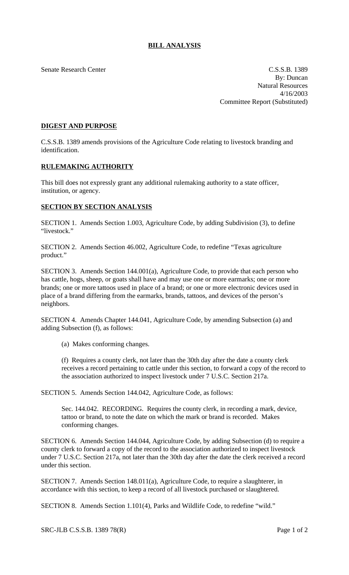## **BILL ANALYSIS**

Senate Research Center Context Context C.S.S.B. 1389 By: Duncan Natural Resources 4/16/2003 Committee Report (Substituted)

## **DIGEST AND PURPOSE**

C.S.S.B. 1389 amends provisions of the Agriculture Code relating to livestock branding and identification.

## **RULEMAKING AUTHORITY**

This bill does not expressly grant any additional rulemaking authority to a state officer, institution, or agency.

## **SECTION BY SECTION ANALYSIS**

SECTION 1. Amends Section 1.003, Agriculture Code, by adding Subdivision (3), to define "livestock."

SECTION 2. Amends Section 46.002, Agriculture Code, to redefine "Texas agriculture product."

SECTION 3. Amends Section 144.001(a), Agriculture Code, to provide that each person who has cattle, hogs, sheep, or goats shall have and may use one or more earmarks; one or more brands; one or more tattoos used in place of a brand; or one or more electronic devices used in place of a brand differing from the earmarks, brands, tattoos, and devices of the person's neighbors.

SECTION 4. Amends Chapter 144.041, Agriculture Code, by amending Subsection (a) and adding Subsection (f), as follows:

(a) Makes conforming changes.

(f) Requires a county clerk, not later than the 30th day after the date a county clerk receives a record pertaining to cattle under this section, to forward a copy of the record to the association authorized to inspect livestock under 7 U.S.C. Section 217a.

SECTION 5. Amends Section 144.042, Agriculture Code, as follows:

Sec. 144.042. RECORDING. Requires the county clerk, in recording a mark, device, tattoo or brand, to note the date on which the mark or brand is recorded. Makes conforming changes.

SECTION 6. Amends Section 144.044, Agriculture Code, by adding Subsection (d) to require a county clerk to forward a copy of the record to the association authorized to inspect livestock under 7 U.S.C. Section 217a, not later than the 30th day after the date the clerk received a record under this section.

SECTION 7. Amends Section 148.011(a), Agriculture Code, to require a slaughterer, in accordance with this section, to keep a record of all livestock purchased or slaughtered.

SECTION 8. Amends Section 1.101(4), Parks and Wildlife Code, to redefine "wild."